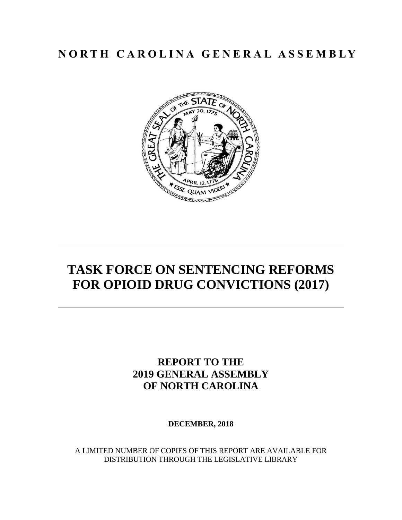# **N O R T H C A R O L I N A G E N E R A L A S S E M B L Y**



# **TASK FORCE ON SENTENCING REFORMS FOR OPIOID DRUG CONVICTIONS (2017)**

# **REPORT TO THE 2019 GENERAL ASSEMBLY OF NORTH CAROLINA**

**DECEMBER, 2018**

A LIMITED NUMBER OF COPIES OF THIS REPORT ARE AVAILABLE FOR DISTRIBUTION THROUGH THE LEGISLATIVE LIBRARY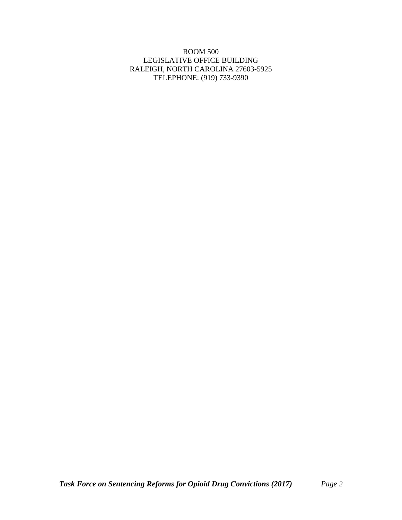#### ROOM 500 LEGISLATIVE OFFICE BUILDING RALEIGH, NORTH CAROLINA 27603-5925 TELEPHONE: (919) 733-9390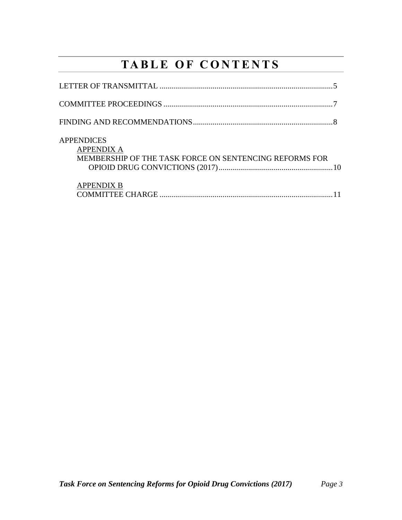# **TABLE OF CONTENTS**

<span id="page-2-0"></span>

| <b>APPENDICES</b><br><b>APPENDIX A</b><br>MEMBERSHIP OF THE TASK FORCE ON SENTENCING REFORMS FOR |  |
|--------------------------------------------------------------------------------------------------|--|
| <b>APPENDIX B</b>                                                                                |  |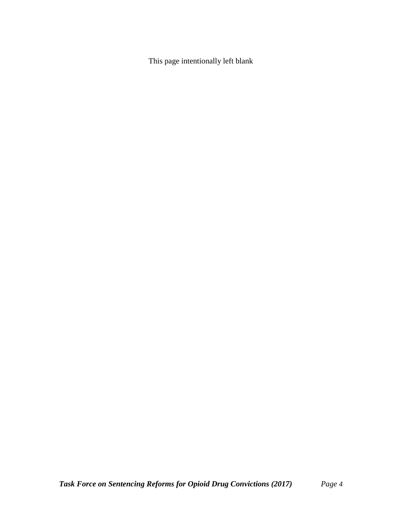This page intentionally left blank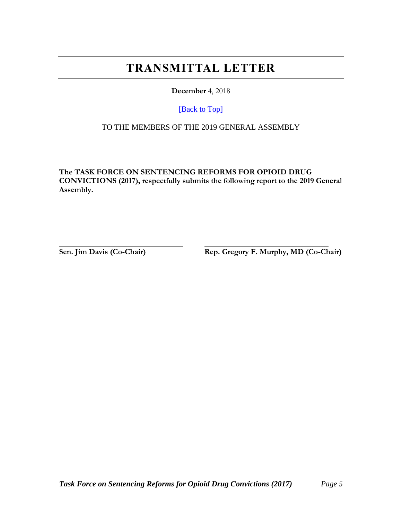# <span id="page-4-0"></span>**TRANSMITTAL LETTER**

**December** 4, 2018

# [\[Back to Top\]](#page-2-0)

# TO THE MEMBERS OF THE 2019 GENERAL ASSEMBLY

**The TASK FORCE ON SENTENCING REFORMS FOR OPIOID DRUG CONVICTIONS (2017), respectfully submits the following report to the 2019 General Assembly.**

**Sen. Jim Davis (Co-Chair) Rep. Gregory F. Murphy, MD (Co-Chair)**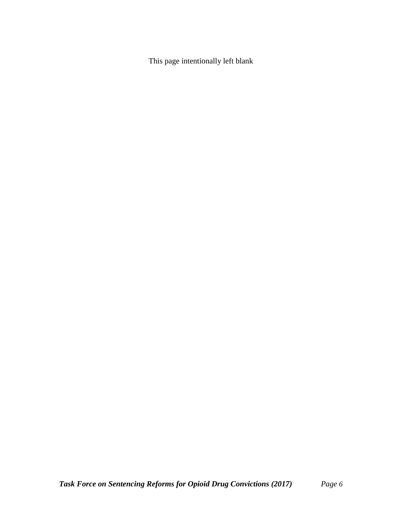This page intentionally left blank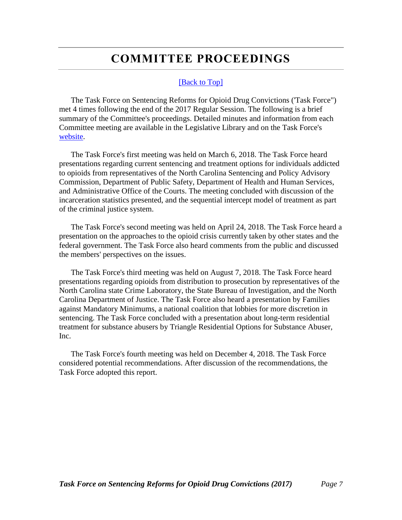# **COMMITTEE PROCEEDINGS**

## [\[Back to Top\]](#page-2-0)

<span id="page-6-0"></span>The Task Force on Sentencing Reforms for Opioid Drug Convictions ('Task Force") met 4 times following the end of the 2017 Regular Session. The following is a brief summary of the Committee's proceedings. Detailed minutes and information from each Committee meeting are available in the Legislative Library and on the Task Force's [website.](https://www.ncleg.net/gascripts/Committees/Committees.asp?sAction=ViewCommittee&sActionDetails=Non-Standing_6684)

The Task Force's first meeting was held on March 6, 2018. The Task Force heard presentations regarding current sentencing and treatment options for individuals addicted to opioids from representatives of the North Carolina Sentencing and Policy Advisory Commission, Department of Public Safety, Department of Health and Human Services, and Administrative Office of the Courts. The meeting concluded with discussion of the incarceration statistics presented, and the sequential intercept model of treatment as part of the criminal justice system.

The Task Force's second meeting was held on April 24, 2018. The Task Force heard a presentation on the approaches to the opioid crisis currently taken by other states and the federal government. The Task Force also heard comments from the public and discussed the members' perspectives on the issues.

The Task Force's third meeting was held on August 7, 2018. The Task Force heard presentations regarding opioids from distribution to prosecution by representatives of the North Carolina state Crime Laboratory, the State Bureau of Investigation, and the North Carolina Department of Justice. The Task Force also heard a presentation by Families against Mandatory Minimums, a national coalition that lobbies for more discretion in sentencing. The Task Force concluded with a presentation about long-term residential treatment for substance abusers by Triangle Residential Options for Substance Abuser, Inc.

<span id="page-6-1"></span>The Task Force's fourth meeting was held on December 4, 2018. The Task Force considered potential recommendations. After discussion of the recommendations, the Task Force adopted this report.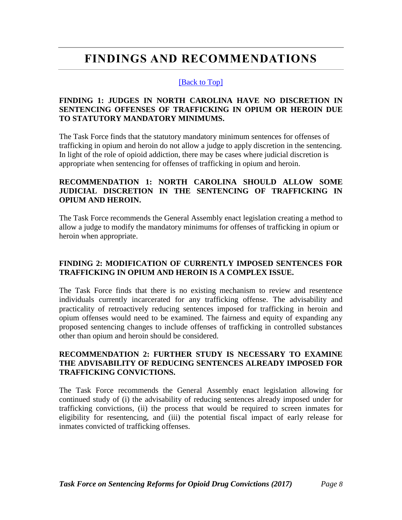# **FINDINGS AND RECOMMENDATIONS**

## [\[Back to Top\]](#page-2-0)

## **FINDING 1: JUDGES IN NORTH CAROLINA HAVE NO DISCRETION IN SENTENCING OFFENSES OF TRAFFICKING IN OPIUM OR HEROIN DUE TO STATUTORY MANDATORY MINIMUMS.**

The Task Force finds that the statutory mandatory minimum sentences for offenses of trafficking in opium and heroin do not allow a judge to apply discretion in the sentencing. In light of the role of opioid addiction, there may be cases where judicial discretion is appropriate when sentencing for offenses of trafficking in opium and heroin.

## **RECOMMENDATION 1: NORTH CAROLINA SHOULD ALLOW SOME JUDICIAL DISCRETION IN THE SENTENCING OF TRAFFICKING IN OPIUM AND HEROIN.**

The Task Force recommends the General Assembly enact legislation creating a method to allow a judge to modify the mandatory minimums for offenses of trafficking in opium or heroin when appropriate.

## **FINDING 2: MODIFICATION OF CURRENTLY IMPOSED SENTENCES FOR TRAFFICKING IN OPIUM AND HEROIN IS A COMPLEX ISSUE.**

The Task Force finds that there is no existing mechanism to review and resentence individuals currently incarcerated for any trafficking offense. The advisability and practicality of retroactively reducing sentences imposed for trafficking in heroin and opium offenses would need to be examined. The fairness and equity of expanding any proposed sentencing changes to include offenses of trafficking in controlled substances other than opium and heroin should be considered.

### **RECOMMENDATION 2: FURTHER STUDY IS NECESSARY TO EXAMINE THE ADVISABILITY OF REDUCING SENTENCES ALREADY IMPOSED FOR TRAFFICKING CONVICTIONS.**

The Task Force recommends the General Assembly enact legislation allowing for continued study of (i) the advisability of reducing sentences already imposed under for trafficking convictions, (ii) the process that would be required to screen inmates for eligibility for resentencing, and (iii) the potential fiscal impact of early release for inmates convicted of trafficking offenses.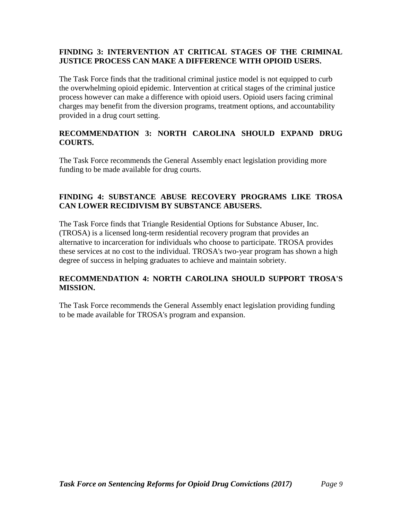## **FINDING 3: INTERVENTION AT CRITICAL STAGES OF THE CRIMINAL JUSTICE PROCESS CAN MAKE A DIFFERENCE WITH OPIOID USERS.**

The Task Force finds that the traditional criminal justice model is not equipped to curb the overwhelming opioid epidemic. Intervention at critical stages of the criminal justice process however can make a difference with opioid users. Opioid users facing criminal charges may benefit from the diversion programs, treatment options, and accountability provided in a drug court setting.

# **RECOMMENDATION 3: NORTH CAROLINA SHOULD EXPAND DRUG COURTS.**

The Task Force recommends the General Assembly enact legislation providing more funding to be made available for drug courts.

# **FINDING 4: SUBSTANCE ABUSE RECOVERY PROGRAMS LIKE TROSA CAN LOWER RECIDIVISM BY SUBSTANCE ABUSERS.**

The Task Force finds that Triangle Residential Options for Substance Abuser, Inc. (TROSA) is a licensed long-term residential recovery program that provides an alternative to incarceration for individuals who choose to participate. TROSA provides these services at no cost to the individual. TROSA's two-year program has shown a high degree of success in helping graduates to achieve and maintain sobriety.

## **RECOMMENDATION 4: NORTH CAROLINA SHOULD SUPPORT TROSA'S MISSION.**

The Task Force recommends the General Assembly enact legislation providing funding to be made available for TROSA's program and expansion.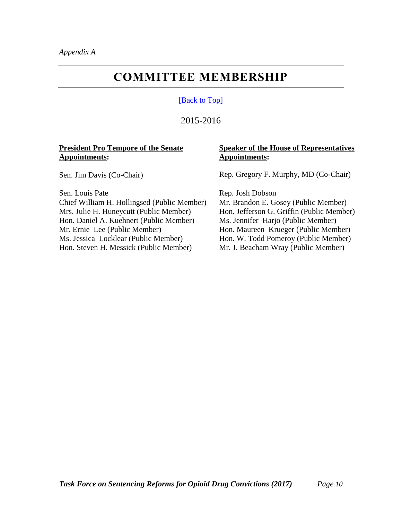# <span id="page-9-0"></span>**COMMITTEE MEMBERSHIP**

### [\[Back to Top\]](#page-2-0)

# 2015-2016

#### **President Pro Tempore of the Senate Appointments:**

Sen. Jim Davis (Co-Chair)

Sen. Louis Pate Rep. Josh Dobson Chief William H. Hollingsed (Public Member) Mr. Brandon E. Gosey (Public Member) Mrs. Julie H. Huneycutt (Public Member) Hon. Jefferson G. Griffin (Public Member) Hon. Daniel A. Kuehnert (Public Member) Ms. Jennifer Harjo (Public Member) Mr. Ernie Lee (Public Member) Hon. Maureen Krueger (Public Member) Ms. Jessica Locklear (Public Member) Hon. W. Todd Pomeroy (Public Member) Hon. Steven H. Messick (Public Member) Mr. J. Beacham Wray (Public Member)

### **Speaker of the House of Representatives Appointments:**

Rep. Gregory F. Murphy, MD (Co-Chair)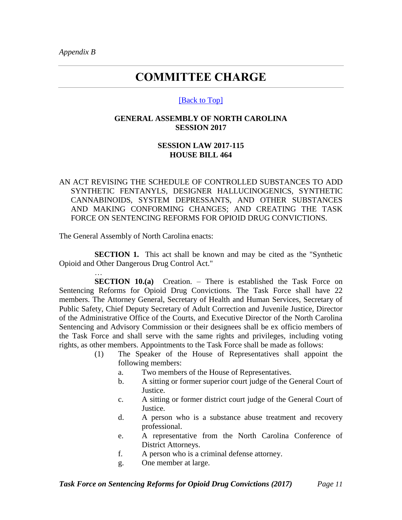# **COMMITTEE CHARGE**

#### [\[Back to Top\]](#page-2-0)

#### <span id="page-10-0"></span>**GENERAL ASSEMBLY OF NORTH CAROLINA SESSION 2017**

#### **SESSION LAW 2017-115 HOUSE BILL 464**

#### AN ACT REVISING THE SCHEDULE OF CONTROLLED SUBSTANCES TO ADD SYNTHETIC FENTANYLS, DESIGNER HALLUCINOGENICS, SYNTHETIC CANNABINOIDS, SYSTEM DEPRESSANTS, AND OTHER SUBSTANCES AND MAKING CONFORMING CHANGES; AND CREATING THE TASK FORCE ON SENTENCING REFORMS FOR OPIOID DRUG CONVICTIONS.

The General Assembly of North Carolina enacts:

…

**SECTION 1.** This act shall be known and may be cited as the "Synthetic" Opioid and Other Dangerous Drug Control Act."

**SECTION 10.(a)** Creation. – There is established the Task Force on Sentencing Reforms for Opioid Drug Convictions. The Task Force shall have 22 members. The Attorney General, Secretary of Health and Human Services, Secretary of Public Safety, Chief Deputy Secretary of Adult Correction and Juvenile Justice, Director of the Administrative Office of the Courts, and Executive Director of the North Carolina Sentencing and Advisory Commission or their designees shall be ex officio members of the Task Force and shall serve with the same rights and privileges, including voting rights, as other members. Appointments to the Task Force shall be made as follows:

- (1) The Speaker of the House of Representatives shall appoint the following members:
	- a. Two members of the House of Representatives.
	- b. A sitting or former superior court judge of the General Court of Justice.
	- c. A sitting or former district court judge of the General Court of Justice.
	- d. A person who is a substance abuse treatment and recovery professional.
	- e. A representative from the North Carolina Conference of District Attorneys.
	- f. A person who is a criminal defense attorney.
	- g. One member at large.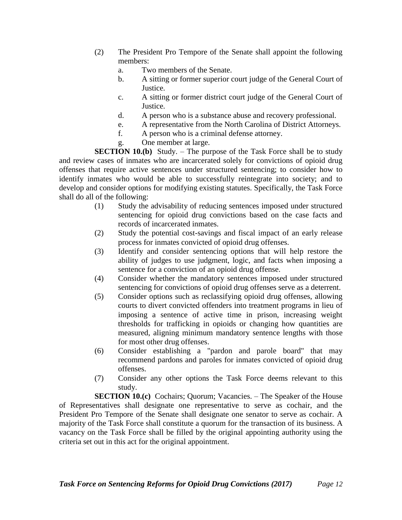- (2) The President Pro Tempore of the Senate shall appoint the following members:
	- a. Two members of the Senate.
	- b. A sitting or former superior court judge of the General Court of Justice.
	- c. A sitting or former district court judge of the General Court of Justice.
	- d. A person who is a substance abuse and recovery professional.
	- e. A representative from the North Carolina of District Attorneys.
	- f. A person who is a criminal defense attorney.
	- g. One member at large.

**SECTION 10.(b)** Study. – The purpose of the Task Force shall be to study and review cases of inmates who are incarcerated solely for convictions of opioid drug offenses that require active sentences under structured sentencing; to consider how to identify inmates who would be able to successfully reintegrate into society; and to develop and consider options for modifying existing statutes. Specifically, the Task Force shall do all of the following:

- (1) Study the advisability of reducing sentences imposed under structured sentencing for opioid drug convictions based on the case facts and records of incarcerated inmates.
- (2) Study the potential cost-savings and fiscal impact of an early release process for inmates convicted of opioid drug offenses.
- (3) Identify and consider sentencing options that will help restore the ability of judges to use judgment, logic, and facts when imposing a sentence for a conviction of an opioid drug offense.
- (4) Consider whether the mandatory sentences imposed under structured sentencing for convictions of opioid drug offenses serve as a deterrent.
- (5) Consider options such as reclassifying opioid drug offenses, allowing courts to divert convicted offenders into treatment programs in lieu of imposing a sentence of active time in prison, increasing weight thresholds for trafficking in opioids or changing how quantities are measured, aligning minimum mandatory sentence lengths with those for most other drug offenses.
- (6) Consider establishing a "pardon and parole board" that may recommend pardons and paroles for inmates convicted of opioid drug offenses.
- (7) Consider any other options the Task Force deems relevant to this study.

**SECTION 10.(c)** Cochairs; Quorum; Vacancies. – The Speaker of the House of Representatives shall designate one representative to serve as cochair, and the President Pro Tempore of the Senate shall designate one senator to serve as cochair. A majority of the Task Force shall constitute a quorum for the transaction of its business. A vacancy on the Task Force shall be filled by the original appointing authority using the criteria set out in this act for the original appointment.